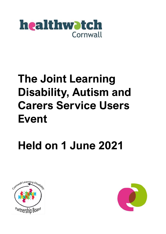

## **The Joint Learning Disability, Autism and Carers Service Users Event**

## **Held on 1 June 2021**



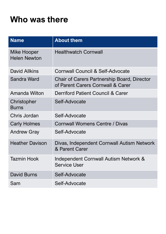## **Who was there**

| <b>Name</b>                        | <b>About them</b>                                                                       |
|------------------------------------|-----------------------------------------------------------------------------------------|
| Mike Hooper<br><b>Helen Newton</b> | <b>Healthwatch Cornwall</b>                                                             |
| <b>David Allkins</b>               | <b>Cornwall Council &amp; Self-Advocate</b>                                             |
| Sandra Ward                        | <b>Chair of Carers Partnership Board, Director</b><br>of Parent Carers Cornwall & Carer |
| Amanda Wilton                      | <b>Derriford Patient Council &amp; Carer</b>                                            |
| Christopher<br><b>Burns</b>        | Self-Advocate                                                                           |
| Chris Jordan                       | Self-Advocate                                                                           |
| <b>Carly Holmes</b>                | <b>Cornwall Womens Centre / Divas</b>                                                   |
| <b>Andrew Gray</b>                 | Self-Advocate                                                                           |
| <b>Heather Davison</b>             | Divas, Independent Cornwall Autism Network<br>& Parent Carer                            |
| Tazmin Hook                        | Independent Cornwall Autism Network &<br><b>Service User</b>                            |
| <b>David Burns</b>                 | Self-Advocate                                                                           |
| Sam                                | Self-Advocate                                                                           |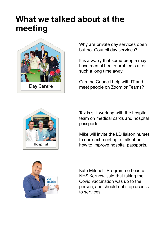## **What we talked about at the meeting**



Why are private day services open but not Council day services?

It is a worry that some people may have mental health problems after such a long time away.

Can the Council help with IT and meet people on Zoom or Teams?



Taz is still working with the hospital team on medical cards and hospital passports.

Mike will invite the LD liaison nurses to our next meeting to talk about how to improve hospital passports.



Kate Mitchell, Programme Lead at NHS Kernow, said that taking the Covid vaccination was up to the person, and should not stop access to services.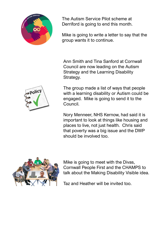

The Autism Service Pilot scheme at Derriford is going to end this month.

Mike is going to write a letter to say that the group wants it to continue.

Ann Smith and Tina Sanford at Cornwall Council are now leading on the Autism Strategy and the Learning Disability Strategy.



The group made a list of ways that people with a learning disability or Autism could be engaged. Mike is going to send it to the Council.

Nory Menneer, NHS Kernow, had said it is important to look at things like housing and places to live, not just health. Chris said that poverty was a big issue and the DWP should be involved too.



Mike is going to meet with the Divas, Cornwall People First and the CHAMPS to talk about the Making Disability Visible idea.

Taz and Heather will be invited too.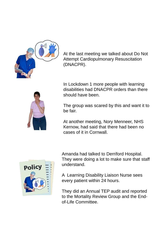

At the last meeting we talked about Do Not Attempt Cardiopulmonary Resuscitation (DNACPR).



In Lockdown 1 more people with learning disabilities had DNACPR orders than there should have been.

The group was scared by this and want it to be fair.

At another meeting, Nory Menneer, NHS Kernow, had said that there had been no cases of it in Cornwall.



Amanda had talked to Derriford Hospital. They were doing a lot to make sure that staff understand.

A Learning Disability Liaison Nurse sees every patient within 24 hours.

They did an Annual TEP audit and reported to the Mortality Review Group and the Endof-Life Committee.